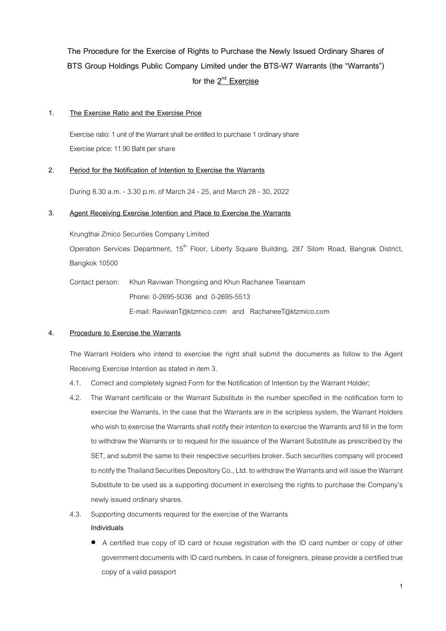**The Procedure for the Exercise of Rights to Purchase the Newly Issued Ordinary Shares of BTS Group Holdings Public Company Limited under the BTS-W7 Warrants (the "Warrants")** for the  $2^{\text{nd}}$  Exercise

### **1. The Exercise Ratio and the Exercise Price**

Exercise ratio: 1 unit of the Warrant shall be entitled to purchase 1 ordinaryshare Exercise price: 11.90 Baht per share

# **2. Period for the Notification of Intention to Exercise the Warrants**

During 8.30 a.m. - 3.30 p.m. of March 24 - 25, and March 28 - 30, 2022

# **3. Agent Receiving Exercise Intention and Place to Exercise the Warrants**

Krungthai Zmico Securities Company Limited

Operation Services Department, 15<sup>th</sup> Floor, Liberty Square Building, 287 Silom Road, Bangrak District, Bangkok 10500

Contact person: Khun Raviwan Thongsing and Khun Rachanee Tieansam Phone: 0-2695-5036 and 0-2695-5513 E-mail: RaviwanT@ktzmico.com and RachaneeT@ktzmico.com

#### **4. Procedure to Exercise the Warrants**

The Warrant Holders who intend to exercise the right shall submit the documents as follow to the Agent Receiving Exercise Intention as stated in item 3.

- 4.1. Correctand completely signed Form for the Notification of Intention by the Warrant Holder;
- 4.2. The Warrant certificate or the Warrant Substitute in the number specified in the notification form to exercise the Warrants. In the case that the Warrants are in the scripless system, the Warrant Holders who wish to exercise the Warrants shall notify their intention to exercise the Warrants and fill in the form to withdraw the Warrants or to request for the issuance of the Warrant Substitute as prescribed by the SET, and submit the same to their respective securities broker. Such securities company will proceed to notify the Thailand Securities Depository Co., Ltd. to withdraw the Warrants and will issue the Warrant Substitute to be used as a supporting document in exercising the rights to purchase the Company's newly issued ordinary shares.
- 4.3. Supporting documents required for the exercise of the Warrants

#### **Individuals**

 A certified true copy of ID card or house registration with the ID card number or copy of other government documents with ID card numbers. In case of foreigners, please provide a certified true copy of a valid passport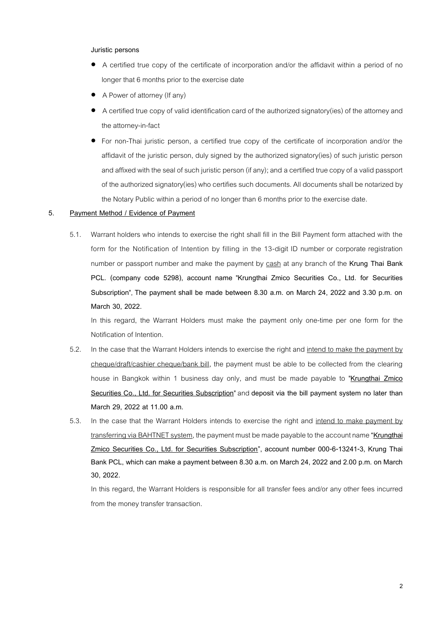#### **Juristic persons**

- A certified true copy of the certificate of incorporation and/or the affidavit within a period of no longer that 6 months prior to the exercise date
- A Power of attorney (If any)
- A certified true copy of valid identification card of the authorized signatory(ies) of the attorney and the attorney-in-fact
- For non-Thai juristic person, a certified true copy of the certificate of incorporation and/or the affidavit of the juristic person, duly signed by the authorized signatory(ies) of such juristic person and affixed with the seal of such juristic person (if any); and a certified true copy of a valid passport of the authorized signatory(ies) who certifies such documents. All documents shall be notarized by the Notary Public within a period of no longer than 6 months prior to the exercise date.

### **5. Payment Method / Evidence of Payment**

5.1. Warrant holders who intends to exercise the right shall fill in the Bill Payment form attached with the form for the Notification of Intention by filling in the 13-digit ID number or corporate registration number or passport number and make the payment by cash at any branch of the **Krung Thai Bank PCL. (company code 5298), account name** "**Krungthai Zmico Securities Co., Ltd. for Securities Subscription**", **The payment shall be made between 8.30 a.m. on March 24, 2022 and 3.30 p.m. on March 30, 2022.**

In this regard, the Warrant Holders must make the payment only one-time per one form for the Notification of Intention.

- 5.2. In the case that the Warrant Holders intends to exercise the right and intend to make the payment by cheque/draft/cashier cheque/bank bill, the payment must be able to be collected from the clearing house in Bangkok within 1 business day only, and must be made payable to "**Krungthai Zmico Securities Co., Ltd. for Securities Subscription**" and **deposit via the bill payment system no later than March 29, 2022 at 11.00 a.m.**
- 5.3. In the case that the Warrant Holders intends to exercise the right and intend to make payment by transferring via BAHTNET system, the payment must be made payableto the account name **"Krungthai Zmico Securities Co., Ltd. for Securities Subscription", account number 000-6-13241-3, Krung Thai Bank PCL, which can make a payment between 8.30 a.m. on March 24, 2022 and 2.00 p.m. on March 30, 2022.**

In this regard, the Warrant Holders is responsible for all transfer fees and/or any other fees incurred from the money transfer transaction.